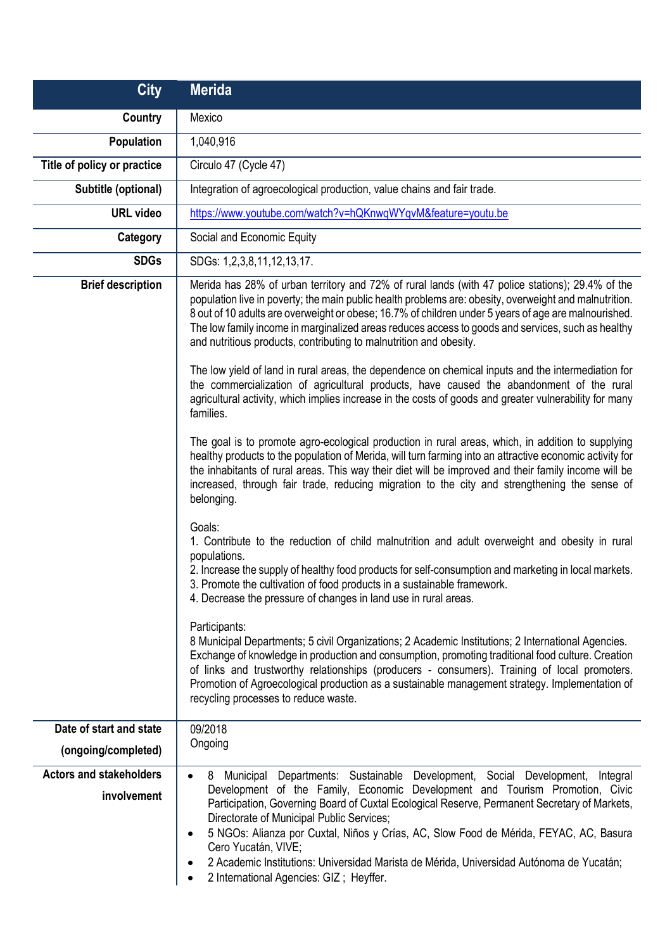| <b>City</b>                                   | <b>Merida</b>                                                                                                                                                                                                                                                                                                                                                                                                                                                                                                                                                                                                                                                                                                                                                                                             |
|-----------------------------------------------|-----------------------------------------------------------------------------------------------------------------------------------------------------------------------------------------------------------------------------------------------------------------------------------------------------------------------------------------------------------------------------------------------------------------------------------------------------------------------------------------------------------------------------------------------------------------------------------------------------------------------------------------------------------------------------------------------------------------------------------------------------------------------------------------------------------|
| Country                                       | Mexico                                                                                                                                                                                                                                                                                                                                                                                                                                                                                                                                                                                                                                                                                                                                                                                                    |
| <b>Population</b>                             | 1,040,916                                                                                                                                                                                                                                                                                                                                                                                                                                                                                                                                                                                                                                                                                                                                                                                                 |
| Title of policy or practice                   | Circulo 47 (Cycle 47)                                                                                                                                                                                                                                                                                                                                                                                                                                                                                                                                                                                                                                                                                                                                                                                     |
| Subtitle (optional)                           | Integration of agroecological production, value chains and fair trade.                                                                                                                                                                                                                                                                                                                                                                                                                                                                                                                                                                                                                                                                                                                                    |
| <b>URL</b> video                              | https://www.youtube.com/watch?v=hQKnwqWYqvM&feature=youtu.be                                                                                                                                                                                                                                                                                                                                                                                                                                                                                                                                                                                                                                                                                                                                              |
| Category                                      | Social and Economic Equity                                                                                                                                                                                                                                                                                                                                                                                                                                                                                                                                                                                                                                                                                                                                                                                |
| <b>SDGs</b>                                   | SDGs: 1,2,3,8,11,12,13,17.                                                                                                                                                                                                                                                                                                                                                                                                                                                                                                                                                                                                                                                                                                                                                                                |
| <b>Brief description</b>                      | Merida has 28% of urban territory and 72% of rural lands (with 47 police stations); 29.4% of the<br>population live in poverty; the main public health problems are: obesity, overweight and malnutrition.<br>8 out of 10 adults are overweight or obese; 16.7% of children under 5 years of age are malnourished.<br>The low family income in marginalized areas reduces access to goods and services, such as healthy<br>and nutritious products, contributing to malnutrition and obesity.<br>The low yield of land in rural areas, the dependence on chemical inputs and the intermediation for<br>the commercialization of agricultural products, have caused the abandonment of the rural<br>agricultural activity, which implies increase in the costs of goods and greater vulnerability for many |
|                                               | families.<br>The goal is to promote agro-ecological production in rural areas, which, in addition to supplying<br>healthy products to the population of Merida, will turn farming into an attractive economic activity for<br>the inhabitants of rural areas. This way their diet will be improved and their family income will be<br>increased, through fair trade, reducing migration to the city and strengthening the sense of<br>belonging.<br>Goals:                                                                                                                                                                                                                                                                                                                                                |
|                                               | 1. Contribute to the reduction of child malnutrition and adult overweight and obesity in rural<br>populations.<br>2. Increase the supply of healthy food products for self-consumption and marketing in local markets.<br>3. Promote the cultivation of food products in a sustainable framework.<br>4. Decrease the pressure of changes in land use in rural areas.                                                                                                                                                                                                                                                                                                                                                                                                                                      |
|                                               | Participants:<br>8 Municipal Departments; 5 civil Organizations; 2 Academic Institutions; 2 International Agencies.<br>Exchange of knowledge in production and consumption, promoting traditional food culture. Creation<br>of links and trustworthy relationships (producers - consumers). Training of local promoters.<br>Promotion of Agroecological production as a sustainable management strategy. Implementation of<br>recycling processes to reduce waste.                                                                                                                                                                                                                                                                                                                                        |
| Date of start and state                       | 09/2018                                                                                                                                                                                                                                                                                                                                                                                                                                                                                                                                                                                                                                                                                                                                                                                                   |
| (ongoing/completed)                           | Ongoing                                                                                                                                                                                                                                                                                                                                                                                                                                                                                                                                                                                                                                                                                                                                                                                                   |
| <b>Actors and stakeholders</b><br>involvement | Municipal Departments: Sustainable Development, Social Development,<br>Integral<br>8<br>$\bullet$<br>Development of the Family, Economic Development and Tourism Promotion, Civic<br>Participation, Governing Board of Cuxtal Ecological Reserve, Permanent Secretary of Markets,<br>Directorate of Municipal Public Services;<br>5 NGOs: Alianza por Cuxtal, Niños y Crías, AC, Slow Food de Mérida, FEYAC, AC, Basura<br>$\bullet$<br>Cero Yucatán, VIVE;<br>2 Academic Institutions: Universidad Marista de Mérida, Universidad Autónoma de Yucatán;<br>$\bullet$<br>2 International Agencies: GIZ; Heyffer.                                                                                                                                                                                           |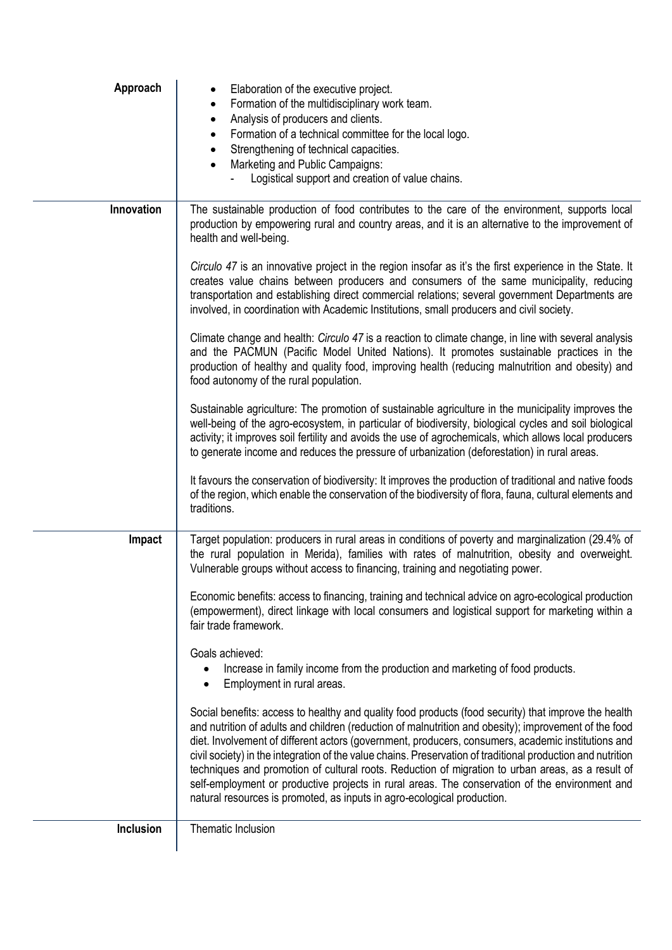| Approach         | Elaboration of the executive project.<br>Formation of the multidisciplinary work team.<br>٠<br>Analysis of producers and clients.<br>$\bullet$<br>Formation of a technical committee for the local logo.<br>$\bullet$<br>Strengthening of technical capacities.<br>$\bullet$<br>Marketing and Public Campaigns:<br>$\bullet$<br>Logistical support and creation of value chains.                                                                                                                                                                                                                                                                                                                                     |
|------------------|----------------------------------------------------------------------------------------------------------------------------------------------------------------------------------------------------------------------------------------------------------------------------------------------------------------------------------------------------------------------------------------------------------------------------------------------------------------------------------------------------------------------------------------------------------------------------------------------------------------------------------------------------------------------------------------------------------------------|
| Innovation       | The sustainable production of food contributes to the care of the environment, supports local<br>production by empowering rural and country areas, and it is an alternative to the improvement of<br>health and well-being.                                                                                                                                                                                                                                                                                                                                                                                                                                                                                          |
|                  | Circulo 47 is an innovative project in the region insofar as it's the first experience in the State. It<br>creates value chains between producers and consumers of the same municipality, reducing<br>transportation and establishing direct commercial relations; several government Departments are<br>involved, in coordination with Academic Institutions, small producers and civil society.                                                                                                                                                                                                                                                                                                                    |
|                  | Climate change and health: Circulo 47 is a reaction to climate change, in line with several analysis<br>and the PACMUN (Pacific Model United Nations). It promotes sustainable practices in the<br>production of healthy and quality food, improving health (reducing malnutrition and obesity) and<br>food autonomy of the rural population.                                                                                                                                                                                                                                                                                                                                                                        |
|                  | Sustainable agriculture: The promotion of sustainable agriculture in the municipality improves the<br>well-being of the agro-ecosystem, in particular of biodiversity, biological cycles and soil biological<br>activity; it improves soil fertility and avoids the use of agrochemicals, which allows local producers<br>to generate income and reduces the pressure of urbanization (deforestation) in rural areas.                                                                                                                                                                                                                                                                                                |
|                  | It favours the conservation of biodiversity: It improves the production of traditional and native foods<br>of the region, which enable the conservation of the biodiversity of flora, fauna, cultural elements and<br>traditions.                                                                                                                                                                                                                                                                                                                                                                                                                                                                                    |
| Impact           | Target population: producers in rural areas in conditions of poverty and marginalization (29.4% of<br>the rural population in Merida), families with rates of malnutrition, obesity and overweight.<br>Vulnerable groups without access to financing, training and negotiating power.                                                                                                                                                                                                                                                                                                                                                                                                                                |
|                  | Economic benefits: access to financing, training and technical advice on agro-ecological production<br>(empowerment), direct linkage with local consumers and logistical support for marketing within a<br>fair trade framework.                                                                                                                                                                                                                                                                                                                                                                                                                                                                                     |
|                  | Goals achieved:<br>Increase in family income from the production and marketing of food products.<br>Employment in rural areas.<br>$\bullet$                                                                                                                                                                                                                                                                                                                                                                                                                                                                                                                                                                          |
|                  | Social benefits: access to healthy and quality food products (food security) that improve the health<br>and nutrition of adults and children (reduction of malnutrition and obesity); improvement of the food<br>diet. Involvement of different actors (government, producers, consumers, academic institutions and<br>civil society) in the integration of the value chains. Preservation of traditional production and nutrition<br>techniques and promotion of cultural roots. Reduction of migration to urban areas, as a result of<br>self-employment or productive projects in rural areas. The conservation of the environment and<br>natural resources is promoted, as inputs in agro-ecological production. |
| <b>Inclusion</b> | Thematic Inclusion                                                                                                                                                                                                                                                                                                                                                                                                                                                                                                                                                                                                                                                                                                   |